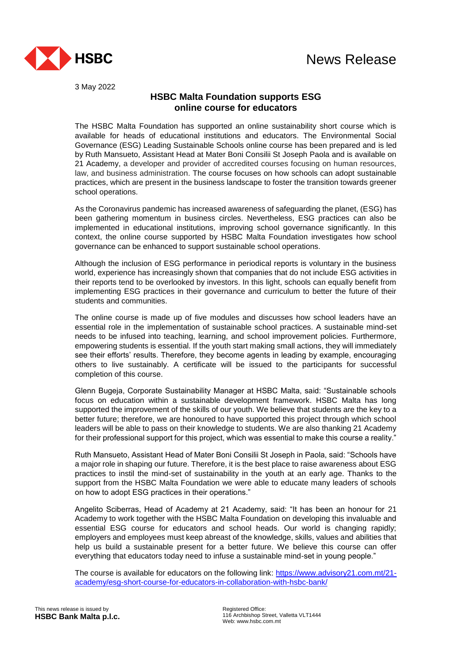

3 May 2022

## **HSBC Malta Foundation supports ESG online course for educators**

The HSBC Malta Foundation has supported an online sustainability short course which is available for heads of educational institutions and educators. The Environmental Social Governance (ESG) Leading Sustainable Schools online course has been prepared and is led by Ruth Mansueto, Assistant Head at Mater Boni Consilii St Joseph Paola and is available on 21 Academy, a developer and provider of accredited courses focusing on human resources, law, and business administration. The course focuses on how schools can adopt sustainable practices, which are present in the business landscape to foster the transition towards greener school operations.

As the Coronavirus pandemic has increased awareness of safeguarding the planet, (ESG) has been gathering momentum in business circles. Nevertheless, ESG practices can also be implemented in educational institutions, improving school governance significantly. In this context, the online course supported by HSBC Malta Foundation investigates how school governance can be enhanced to support sustainable school operations.

Although the inclusion of ESG performance in periodical reports is voluntary in the business world, experience has increasingly shown that companies that do not include ESG activities in their reports tend to be overlooked by investors. In this light, schools can equally benefit from implementing ESG practices in their governance and curriculum to better the future of their students and communities.

The online course is made up of five modules and discusses how school leaders have an essential role in the implementation of sustainable school practices. A sustainable mind-set needs to be infused into teaching, learning, and school improvement policies. Furthermore, empowering students is essential. If the youth start making small actions, they will immediately see their efforts' results. Therefore, they become agents in leading by example, encouraging others to live sustainably. A certificate will be issued to the participants for successful completion of this course.

Glenn Bugeja, Corporate Sustainability Manager at HSBC Malta, said: "Sustainable schools focus on education within a sustainable development framework. HSBC Malta has long supported the improvement of the skills of our youth. We believe that students are the key to a better future; therefore, we are honoured to have supported this project through which school leaders will be able to pass on their knowledge to students. We are also thanking 21 Academy for their professional support for this project, which was essential to make this course a reality."

Ruth Mansueto, Assistant Head of Mater Boni Consilii St Joseph in Paola, said: "Schools have a major role in shaping our future. Therefore, it is the best place to raise awareness about ESG practices to instil the mind-set of sustainability in the youth at an early age. Thanks to the support from the HSBC Malta Foundation we were able to educate many leaders of schools on how to adopt ESG practices in their operations."

Angelito Sciberras, Head of Academy at 21 Academy, said: "It has been an honour for 21 Academy to work together with the HSBC Malta Foundation on developing this invaluable and essential ESG course for educators and school heads. Our world is changing rapidly; employers and employees must keep abreast of the knowledge, skills, values and abilities that help us build a sustainable present for a better future. We believe this course can offer everything that educators today need to infuse a sustainable mind-set in young people."

The course is available for educators on the following link: [https://www.advisory21.com.mt/21](https://www.advisory21.com.mt/21-academy/esg-short-course-for-educators-in-collaboration-with-hsbc-bank/) [academy/esg-short-course-for-educators-in-collaboration-with-hsbc-bank/](https://www.advisory21.com.mt/21-academy/esg-short-course-for-educators-in-collaboration-with-hsbc-bank/)